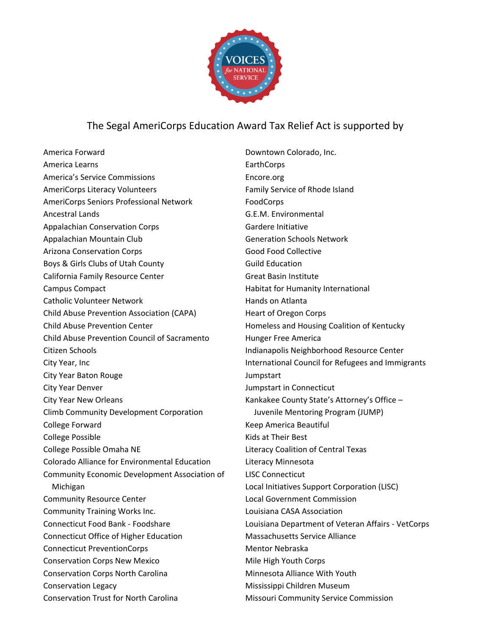

## The Segal AmeriCorps Education Award Tax Relief Act is supported by

America Forward America Learns America's Service Commissions AmeriCorps Literacy Volunteers AmeriCorps Seniors Professional Network Ancestral Lands Appalachian Conservation Corps Appalachian Mountain Club Arizona Conservation Corps Boys & Girls Clubs of Utah County California Family Resource Center Campus Compact Catholic Volunteer Network Child Abuse Prevention Association (CAPA) Child Abuse Prevention Center Child Abuse Prevention Council of Sacramento Citizen Schools City Year, Inc City Year Baton Rouge City Year Denver City Year New Orleans Climb Community Development Corporation College Forward College Possible College Possible Omaha NE Colorado Alliance for Environmental Education Community Economic Development Association of Michigan Community Resource Center Community Training Works Inc. Connecticut Food Bank - Foodshare Connecticut Office of Higher Education Connecticut PreventionCorps Conservation Corps New Mexico Conservation Corps North Carolina Conservation Legacy Conservation Trust for North Carolina

Downtown Colorado, Inc. **EarthCorps** Encore.org Family Service of Rhode Island FoodCorps G.E.M. Environmental Gardere Initiative Generation Schools Network Good Food Collective Guild Education Great Basin Institute Habitat for Humanity International Hands on Atlanta Heart of Oregon Corps Homeless and Housing Coalition of Kentucky Hunger Free America Indianapolis Neighborhood Resource Center International Council for Refugees and Immigrants Jumpstart Jumpstart in Connecticut Kankakee County State's Attorney's Office – Juvenile Mentoring Program (JUMP) Keep America Beautiful Kids at Their Best Literacy Coalition of Central Texas Literacy Minnesota LISC Connecticut Local Initiatives Support Corporation (LISC) Local Government Commission Louisiana CASA Association Louisiana Department of Veteran Affairs - VetCorps Massachusetts Service Alliance Mentor Nebraska Mile High Youth Corps Minnesota Alliance With Youth Mississippi Children Museum Missouri Community Service Commission